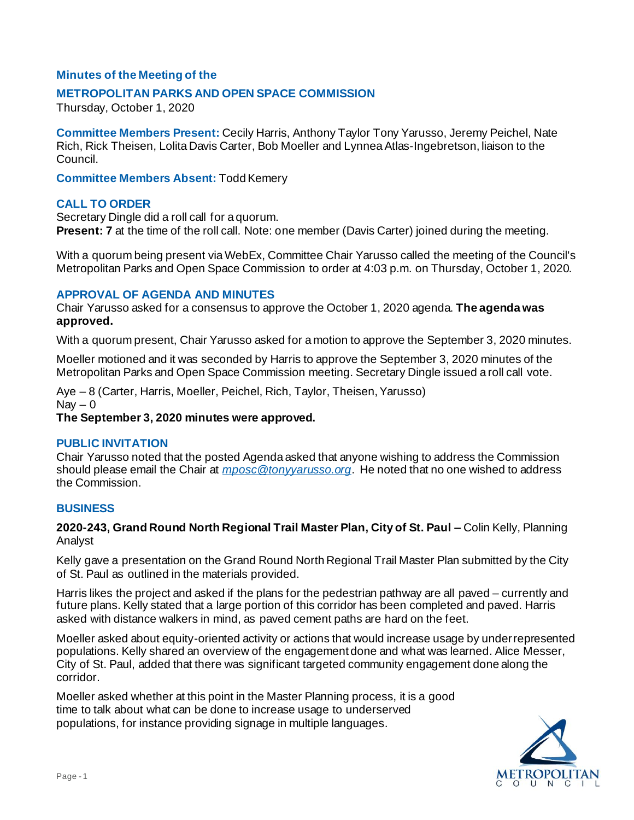# **Minutes of the Meeting of the**

## **METROPOLITAN PARKS AND OPEN SPACE COMMISSION**

Thursday, October 1, 2020

**Committee Members Present:** Cecily Harris, Anthony Taylor Tony Yarusso, Jeremy Peichel, Nate Rich, Rick Theisen, Lolita Davis Carter, Bob Moeller and Lynnea Atlas-Ingebretson, liaison to the Council.

**Committee Members Absent:** Todd Kemery

## **CALL TO ORDER**

Secretary Dingle did a roll call for a quorum. **Present: 7** at the time of the roll call. Note: one member (Davis Carter) joined during the meeting.

With a quorum being present via WebEx, Committee Chair Yarusso called the meeting of the Council's Metropolitan Parks and Open Space Commission to order at 4:03 p.m. on Thursday, October 1, 2020.

## **APPROVAL OF AGENDA AND MINUTES**

Chair Yarusso asked for a consensus to approve the October 1, 2020 agenda. **The agenda was approved.**

With a quorum present, Chair Yarusso asked for a motion to approve the September 3, 2020 minutes.

Moeller motioned and it was seconded by Harris to approve the September 3, 2020 minutes of the Metropolitan Parks and Open Space Commission meeting. Secretary Dingle issued a roll call vote.

Aye – 8 (Carter, Harris, Moeller, Peichel, Rich, Taylor, Theisen, Yarusso)  $\text{Nav} - 0$ 

**The September 3, 2020 minutes were approved.**

#### **PUBLIC INVITATION**

Chair Yarusso noted that the posted Agenda asked that anyone wishing to address the Commission should please email the Chair at *[mposc@tonyyarusso.org](mailto:mposc@tonyyarusso.org)*. He noted that no one wished to address the Commission.

## **BUSINESS**

**2020-243, Grand Round North Regional Trail Master Plan, City of St. Paul –** Colin Kelly, Planning Analyst

Kelly gave a presentation on the Grand Round North Regional Trail Master Plan submitted by the City of St. Paul as outlined in the materials provided.

Harris likes the project and asked if the plans for the pedestrian pathway are all paved – currently and future plans. Kelly stated that a large portion of this corridor has been completed and paved. Harris asked with distance walkers in mind, as paved cement paths are hard on the feet.

Moeller asked about equity-oriented activity or actions that would increase usage by underrepresented populations. Kelly shared an overview of the engagement done and what was learned. Alice Messer, City of St. Paul, added that there was significant targeted community engagement done along the corridor.

Moeller asked whether at this point in the Master Planning process, it is a good time to talk about what can be done to increase usage to underserved populations, for instance providing signage in multiple languages.

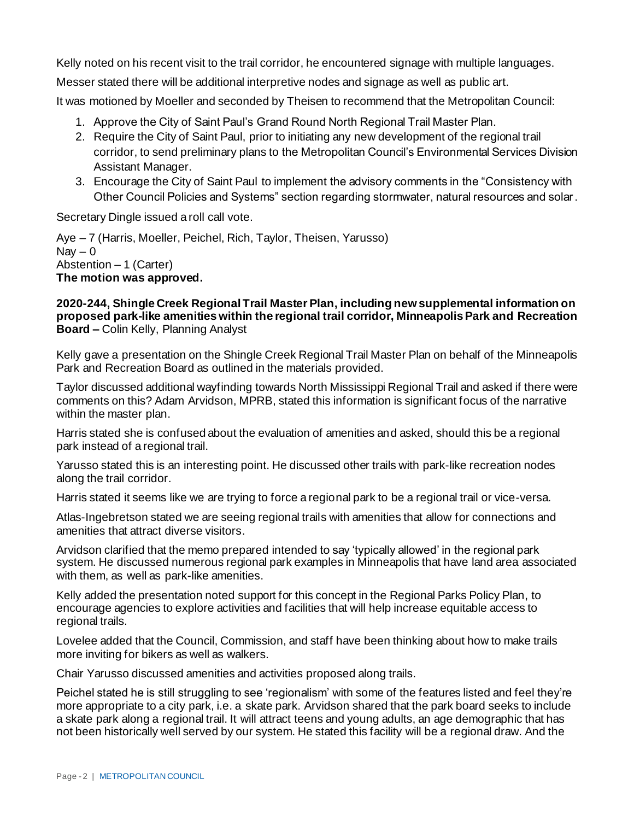Kelly noted on his recent visit to the trail corridor, he encountered signage with multiple languages.

Messer stated there will be additional interpretive nodes and signage as well as public art.

It was motioned by Moeller and seconded by Theisen to recommend that the Metropolitan Council:

- 1. Approve the City of Saint Paul's Grand Round North Regional Trail Master Plan.
- 2. Require the City of Saint Paul, prior to initiating any new development of the regional trail corridor, to send preliminary plans to the Metropolitan Council's Environmental Services Division Assistant Manager.
- 3. Encourage the City of Saint Paul to implement the advisory comments in the "Consistency with Other Council Policies and Systems" section regarding stormwater, natural resources and solar.

Secretary Dingle issued a roll call vote.

Aye – 7 (Harris, Moeller, Peichel, Rich, Taylor, Theisen, Yarusso)  $\text{Nav} - 0$ Abstention – 1 (Carter) **The motion was approved.**

#### **2020-244, Shingle Creek Regional Trail Master Plan, including new supplemental information on proposed park-like amenities within the regional trail corridor, Minneapolis Park and Recreation Board –** Colin Kelly, Planning Analyst

Kelly gave a presentation on the Shingle Creek Regional Trail Master Plan on behalf of the Minneapolis Park and Recreation Board as outlined in the materials provided.

Taylor discussed additional wayfinding towards North Mississippi Regional Trail and asked if there were comments on this? Adam Arvidson, MPRB, stated this information is significant focus of the narrative within the master plan.

Harris stated she is confused about the evaluation of amenities and asked, should this be a regional park instead of a regional trail.

Yarusso stated this is an interesting point. He discussed other trails with park-like recreation nodes along the trail corridor.

Harris stated it seems like we are trying to force a regional park to be a regional trail or vice-versa.

Atlas-Ingebretson stated we are seeing regional trails with amenities that allow for connections and amenities that attract diverse visitors.

Arvidson clarified that the memo prepared intended to say 'typically allowed' in the regional park system. He discussed numerous regional park examples in Minneapolis that have land area associated with them, as well as park-like amenities.

Kelly added the presentation noted support for this concept in the Regional Parks Policy Plan, to encourage agencies to explore activities and facilities that will help increase equitable access to regional trails.

Lovelee added that the Council, Commission, and staff have been thinking about how to make trails more inviting for bikers as well as walkers.

Chair Yarusso discussed amenities and activities proposed along trails.

Peichel stated he is still struggling to see 'regionalism' with some of the features listed and feel they're more appropriate to a city park, i.e. a skate park. Arvidson shared that the park board seeks to include a skate park along a regional trail. It will attract teens and young adults, an age demographic that has not been historically well served by our system. He stated this facility will be a regional draw. And the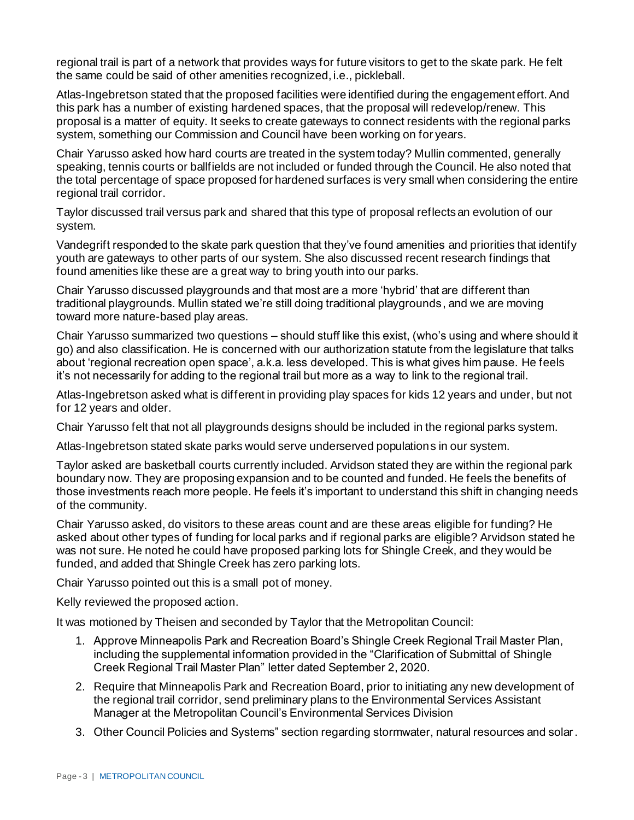regional trail is part of a network that provides ways for future visitors to get to the skate park. He felt the same could be said of other amenities recognized, i.e., pickleball.

Atlas-Ingebretson stated that the proposed facilities were identified during the engagement effort. And this park has a number of existing hardened spaces, that the proposal will redevelop/renew. This proposal is a matter of equity. It seeks to create gateways to connect residents with the regional parks system, something our Commission and Council have been working on for years.

Chair Yarusso asked how hard courts are treated in the system today? Mullin commented, generally speaking, tennis courts or ballfields are not included or funded through the Council. He also noted that the total percentage of space proposed for hardened surfaces is very small when considering the entire regional trail corridor.

Taylor discussed trail versus park and shared that this type of proposal reflects an evolution of our system.

Vandegrift responded to the skate park question that they've found amenities and priorities that identify youth are gateways to other parts of our system. She also discussed recent research findings that found amenities like these are a great way to bring youth into our parks.

Chair Yarusso discussed playgrounds and that most are a more 'hybrid' that are different than traditional playgrounds. Mullin stated we're still doing traditional playgrounds, and we are moving toward more nature-based play areas.

Chair Yarusso summarized two questions – should stuff like this exist, (who's using and where should it go) and also classification. He is concerned with our authorization statute from the legislature that talks about 'regional recreation open space', a.k.a. less developed. This is what gives him pause. He feels it's not necessarily for adding to the regional trail but more as a way to link to the regional trail.

Atlas-Ingebretson asked what is different in providing play spaces for kids 12 years and under, but not for 12 years and older.

Chair Yarusso felt that not all playgrounds designs should be included in the regional parks system.

Atlas-Ingebretson stated skate parks would serve underserved populations in our system.

Taylor asked are basketball courts currently included. Arvidson stated they are within the regional park boundary now. They are proposing expansion and to be counted and funded. He feels the benefits of those investments reach more people. He feels it's important to understand this shift in changing needs of the community.

Chair Yarusso asked, do visitors to these areas count and are these areas eligible for funding? He asked about other types of funding for local parks and if regional parks are eligible? Arvidson stated he was not sure. He noted he could have proposed parking lots for Shingle Creek, and they would be funded, and added that Shingle Creek has zero parking lots.

Chair Yarusso pointed out this is a small pot of money.

Kelly reviewed the proposed action.

It was motioned by Theisen and seconded by Taylor that the Metropolitan Council:

- 1. Approve Minneapolis Park and Recreation Board's Shingle Creek Regional Trail Master Plan, including the supplemental information provided in the "Clarification of Submittal of Shingle Creek Regional Trail Master Plan" letter dated September 2, 2020.
- 2. Require that Minneapolis Park and Recreation Board, prior to initiating any new development of the regional trail corridor, send preliminary plans to the Environmental Services Assistant Manager at the Metropolitan Council's Environmental Services Division
- 3. Other Council Policies and Systems" section regarding stormwater, natural resources and solar.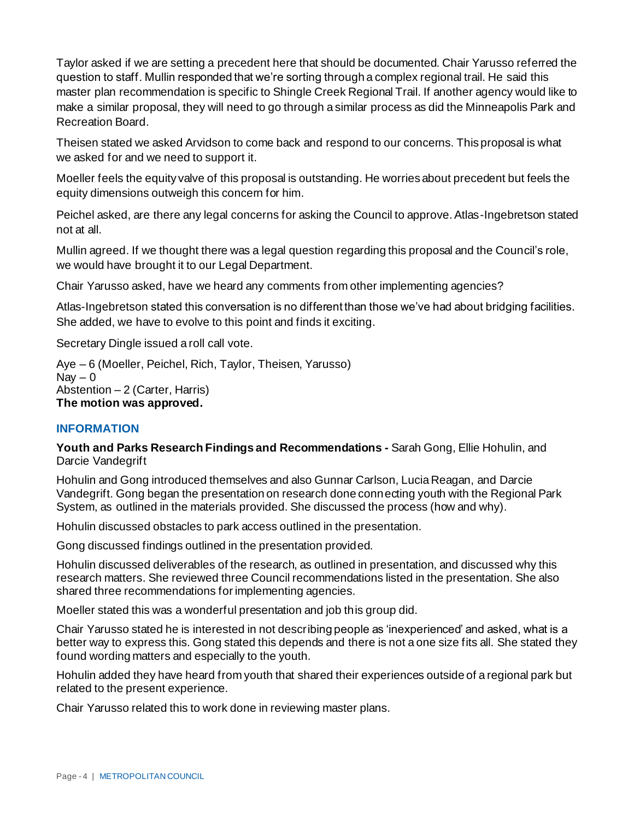Taylor asked if we are setting a precedent here that should be documented. Chair Yarusso referred the question to staff. Mullin responded that we're sorting through a complex regional trail. He said this master plan recommendation is specific to Shingle Creek Regional Trail. If another agency would like to make a similar proposal, they will need to go through a similar process as did the Minneapolis Park and Recreation Board.

Theisen stated we asked Arvidson to come back and respond to our concerns. This proposal is what we asked for and we need to support it.

Moeller feels the equity valve of this proposal is outstanding. He worries about precedent but feels the equity dimensions outweigh this concern for him.

Peichel asked, are there any legal concerns for asking the Council to approve. Atlas-Ingebretson stated not at all.

Mullin agreed. If we thought there was a legal question regarding this proposal and the Council's role, we would have brought it to our Legal Department.

Chair Yarusso asked, have we heard any comments from other implementing agencies?

Atlas-Ingebretson stated this conversation is no different than those we've had about bridging facilities. She added, we have to evolve to this point and finds it exciting.

Secretary Dingle issued a roll call vote.

Aye – 6 (Moeller, Peichel, Rich, Taylor, Theisen, Yarusso) Nav  $-0$ Abstention – 2 (Carter, Harris) **The motion was approved.**

## **INFORMATION**

**Youth and Parks Research Findings and Recommendations -** Sarah Gong, Ellie Hohulin, and Darcie Vandegrift

Hohulin and Gong introduced themselves and also Gunnar Carlson, Lucia Reagan, and Darcie Vandegrift. Gong began the presentation on research done connecting youth with the Regional Park System, as outlined in the materials provided. She discussed the process (how and why).

Hohulin discussed obstacles to park access outlined in the presentation.

Gong discussed findings outlined in the presentation provided.

Hohulin discussed deliverables of the research, as outlined in presentation, and discussed why this research matters. She reviewed three Council recommendations listed in the presentation. She also shared three recommendations for implementing agencies.

Moeller stated this was a wonderful presentation and job this group did.

Chair Yarusso stated he is interested in not describing people as 'inexperienced' and asked, what is a better way to express this. Gong stated this depends and there is not a one size fits all. She stated they found wording matters and especially to the youth.

Hohulin added they have heard from youth that shared their experiences outside of a regional park but related to the present experience.

Chair Yarusso related this to work done in reviewing master plans.